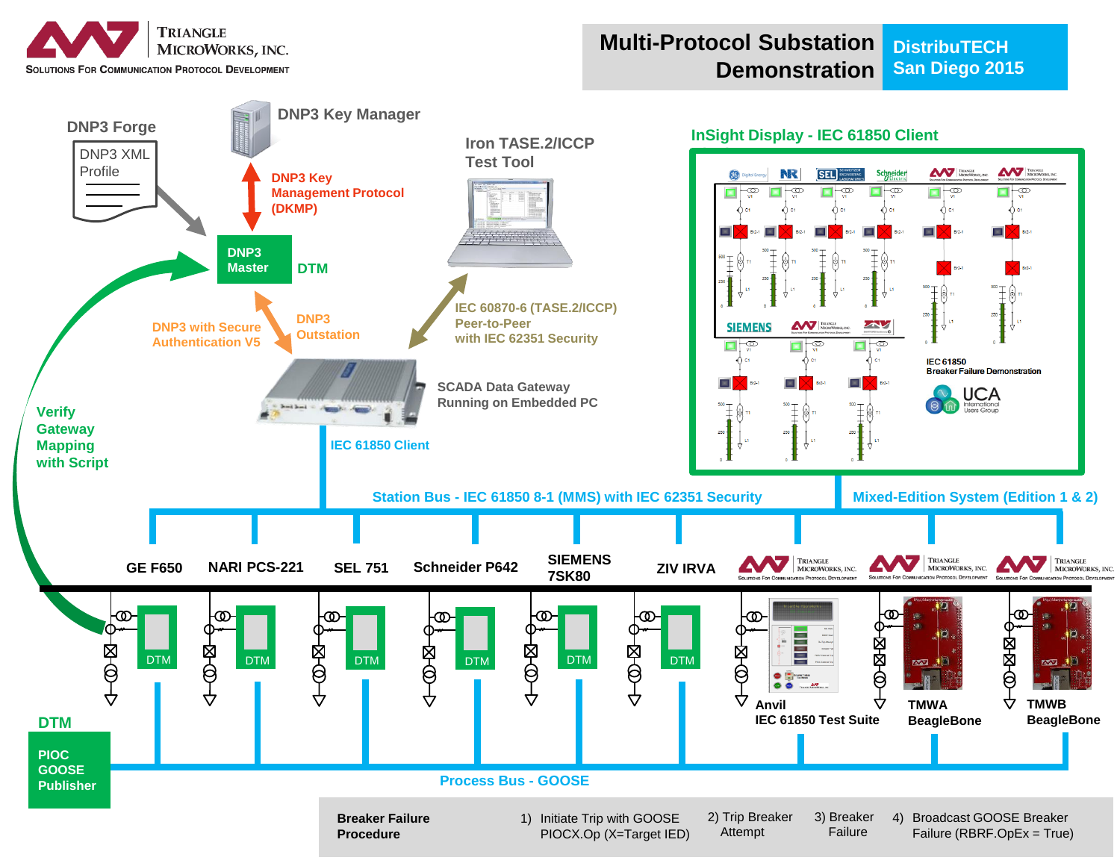

#### **Multi-Protocol Substation Demonstration DistribuTECH San Diego 2015**